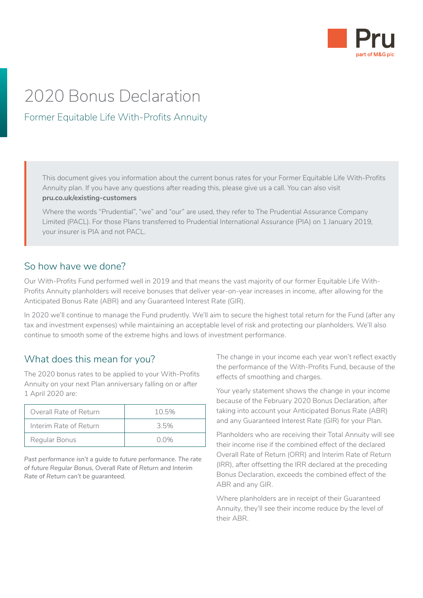

# 2020 Bonus Declaration

## Former Equitable Life With-Profits Annuity

This document gives you information about the current bonus rates for your Former Equitable Life With-Profits Annuity plan. If you have any questions after reading this, please give us a call. You can also visit **[pru.co.uk/existing-customers](https://www.pru.co.uk/existing-customers/)**

Where the words "Prudential", "we" and "our" are used, they refer to The Prudential Assurance Company Limited (PACL). For those Plans transferred to Prudential International Assurance (PIA) on 1 January 2019, your insurer is PIA and not PACL.

#### So how have we done?

Our With-Profits Fund performed well in 2019 and that means the vast majority of our former Equitable Life With-Profits Annuity planholders will receive bonuses that deliver year-on-year increases in income, after allowing for the Anticipated Bonus Rate (ABR) and any Guaranteed Interest Rate (GIR).

In 2020 we'll continue to manage the Fund prudently. We'll aim to secure the highest total return for the Fund (after any tax and investment expenses) while maintaining an acceptable level of risk and protecting our planholders. We'll also continue to smooth some of the extreme highs and lows of investment performance.

### What does this mean for you?

The 2020 bonus rates to be applied to your With-Profits Annuity on your next Plan anniversary falling on or after 1 April 2020 are:

| Overall Rate of Return | $10.5\%$ |
|------------------------|----------|
| Interim Rate of Return | 35%      |
| Regular Bonus          | $0.0\%$  |

*Past performance isn't a guide to future performance. The rate of future Regular Bonus, Overall Rate of Return and Interim Rate of Return can't be guaranteed.*

The change in your income each year won't reflect exactly the performance of the With-Profits Fund, because of the effects of smoothing and charges.

Your yearly statement shows the change in your income because of the February 2020 Bonus Declaration, after taking into account your Anticipated Bonus Rate (ABR) and any Guaranteed Interest Rate (GIR) for your Plan.

Planholders who are receiving their Total Annuity will see their income rise if the combined effect of the declared Overall Rate of Return (ORR) and Interim Rate of Return (IRR), after offsetting the IRR declared at the preceding Bonus Declaration, exceeds the combined effect of the ABR and any GIR.

Where planholders are in receipt of their Guaranteed Annuity, they'll see their income reduce by the level of their ABR.